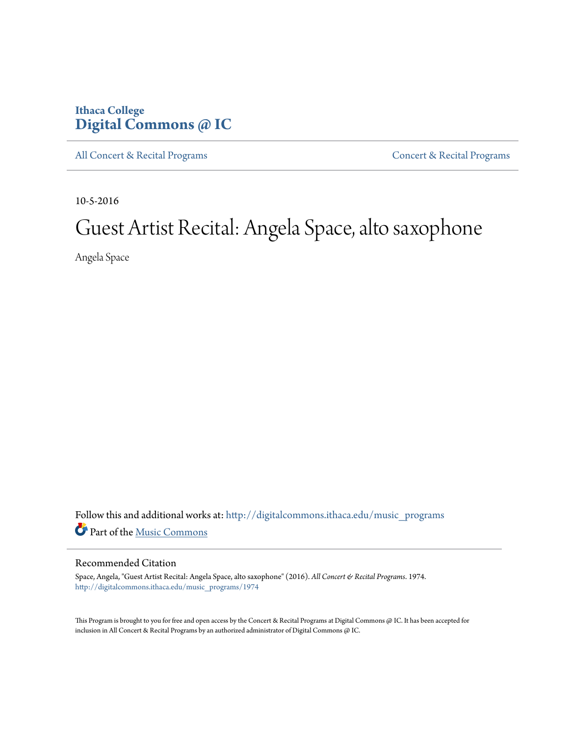## **Ithaca College [Digital Commons @ IC](http://digitalcommons.ithaca.edu?utm_source=digitalcommons.ithaca.edu%2Fmusic_programs%2F1974&utm_medium=PDF&utm_campaign=PDFCoverPages)**

[All Concert & Recital Programs](http://digitalcommons.ithaca.edu/music_programs?utm_source=digitalcommons.ithaca.edu%2Fmusic_programs%2F1974&utm_medium=PDF&utm_campaign=PDFCoverPages) **[Concert & Recital Programs](http://digitalcommons.ithaca.edu/som_programs?utm_source=digitalcommons.ithaca.edu%2Fmusic_programs%2F1974&utm_medium=PDF&utm_campaign=PDFCoverPages)** 

10-5-2016

# Guest Artist Recital: Angela Space, alto saxophone

Angela Space

Follow this and additional works at: [http://digitalcommons.ithaca.edu/music\\_programs](http://digitalcommons.ithaca.edu/music_programs?utm_source=digitalcommons.ithaca.edu%2Fmusic_programs%2F1974&utm_medium=PDF&utm_campaign=PDFCoverPages) Part of the [Music Commons](http://network.bepress.com/hgg/discipline/518?utm_source=digitalcommons.ithaca.edu%2Fmusic_programs%2F1974&utm_medium=PDF&utm_campaign=PDFCoverPages)

#### Recommended Citation

Space, Angela, "Guest Artist Recital: Angela Space, alto saxophone" (2016). *All Concert & Recital Programs*. 1974. [http://digitalcommons.ithaca.edu/music\\_programs/1974](http://digitalcommons.ithaca.edu/music_programs/1974?utm_source=digitalcommons.ithaca.edu%2Fmusic_programs%2F1974&utm_medium=PDF&utm_campaign=PDFCoverPages)

This Program is brought to you for free and open access by the Concert & Recital Programs at Digital Commons @ IC. It has been accepted for inclusion in All Concert & Recital Programs by an authorized administrator of Digital Commons @ IC.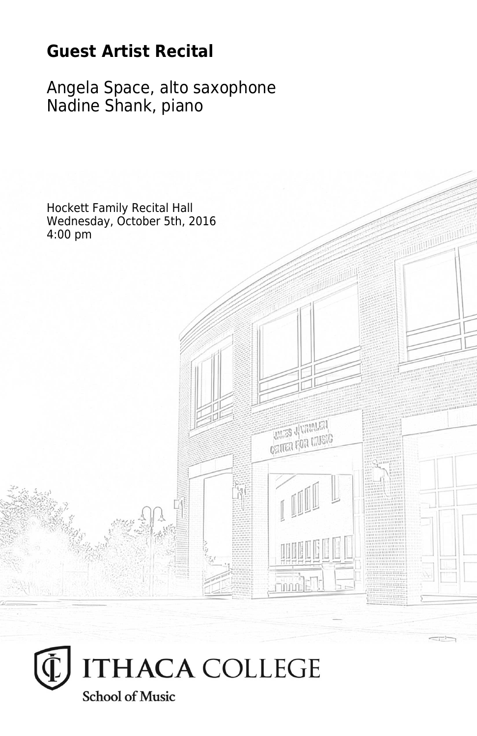# **Guest Artist Recital**

Angela Space, alto saxophone Nadine Shank, piano



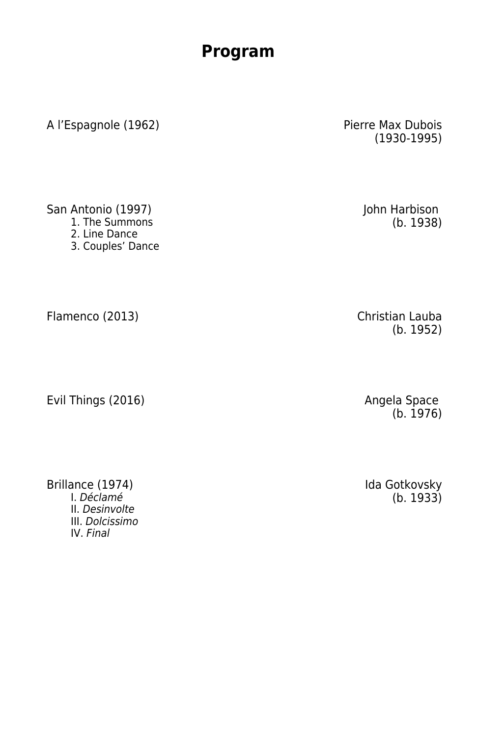### **Program**

A l'Espagnole (1962) Pierre Max Dubois

(1930-1995)

San Antonio (1997)<br>1. The Summons

- 
- 2. Line Dance
- 3. Couples' Dance

Flamenco (2013) **Christian Lauba** 

Evil Things (2016)

Brillance (1974) **Ida Gotkovsky** Ida Gotkovsky **Ida Gotkovsky** II. Desinvolte III. Dolcissimo IV. Final

(b. 1952)

Angela Space<br>(b. 1976)

 $(b. 1933)$ 

John Harbison<br>(b. 1938)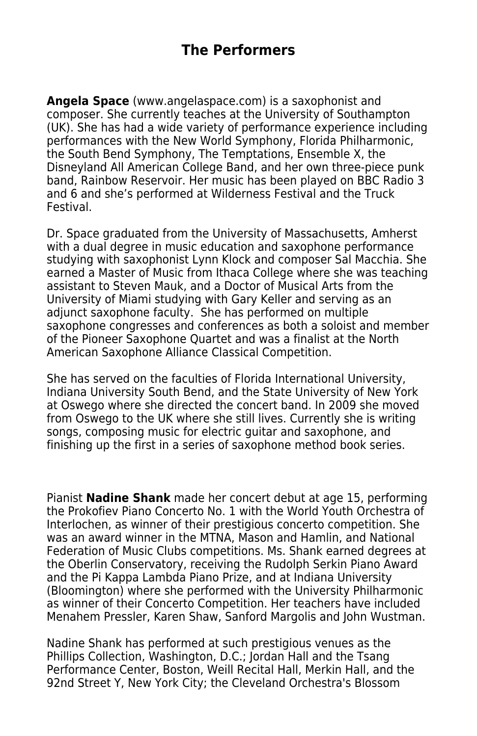**Angela Space** (www.angelaspace.com) is a saxophonist and composer. She currently teaches at the University of Southampton (UK). She has had a wide variety of performance experience including performances with the New World Symphony, Florida Philharmonic, the South Bend Symphony, The Temptations, Ensemble X, the Disneyland All American College Band, and her own three-piece punk band, Rainbow Reservoir. Her music has been played on BBC Radio 3 and 6 and she's performed at Wilderness Festival and the Truck Festival.

Dr. Space graduated from the University of Massachusetts, Amherst with a dual degree in music education and saxophone performance studying with saxophonist Lynn Klock and composer Sal Macchia. She earned a Master of Music from Ithaca College where she was teaching assistant to Steven Mauk, and a Doctor of Musical Arts from the University of Miami studying with Gary Keller and serving as an adjunct saxophone faculty. She has performed on multiple saxophone congresses and conferences as both a soloist and member of the Pioneer Saxophone Quartet and was a finalist at the North American Saxophone Alliance Classical Competition.

She has served on the faculties of Florida International University, Indiana University South Bend, and the State University of New York at Oswego where she directed the concert band. In 2009 she moved from Oswego to the UK where she still lives. Currently she is writing songs, composing music for electric guitar and saxophone, and finishing up the first in a series of saxophone method book series.

Pianist **Nadine Shank** made her concert debut at age 15, performing the Prokofiev Piano Concerto No. 1 with the World Youth Orchestra of Interlochen, as winner of their prestigious concerto competition. She was an award winner in the MTNA, Mason and Hamlin, and National Federation of Music Clubs competitions. Ms. Shank earned degrees at the Oberlin Conservatory, receiving the Rudolph Serkin Piano Award and the Pi Kappa Lambda Piano Prize, and at Indiana University (Bloomington) where she performed with the University Philharmonic as winner of their Concerto Competition. Her teachers have included Menahem Pressler, Karen Shaw, Sanford Margolis and John Wustman.

Nadine Shank has performed at such prestigious venues as the Phillips Collection, Washington, D.C.; Jordan Hall and the Tsang Performance Center, Boston, Weill Recital Hall, Merkin Hall, and the 92nd Street Y, New York City; the Cleveland Orchestra's Blossom